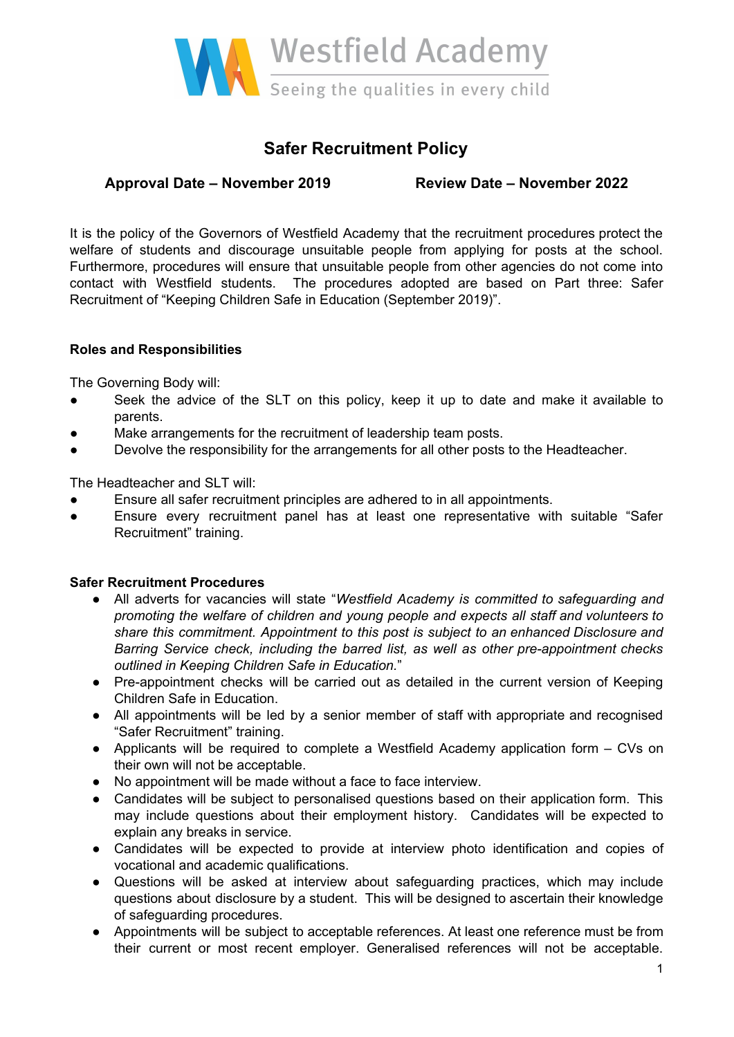

# **Safer Recruitment Policy**

# **Approval Date – November 2019 Review Date – November 2022**

It is the policy of the Governors of Westfield Academy that the recruitment procedures protect the welfare of students and discourage unsuitable people from applying for posts at the school. Furthermore, procedures will ensure that unsuitable people from other agencies do not come into contact with Westfield students. The procedures adopted are based on Part three: Safer Recruitment of "Keeping Children Safe in Education (September 2019)".

#### **Roles and Responsibilities**

The Governing Body will:

- Seek the advice of the SLT on this policy, keep it up to date and make it available to parents.
- Make arrangements for the recruitment of leadership team posts.
- Devolve the responsibility for the arrangements for all other posts to the Headteacher.

The Headteacher and SLT will:

- Ensure all safer recruitment principles are adhered to in all appointments.
- Ensure every recruitment panel has at least one representative with suitable "Safer Recruitment" training.

#### **Safer Recruitment Procedures**

- All adverts for vacancies will state "*Westfield Academy is committed to safeguarding and promoting the welfare of children and young people and expects all staff and volunteers to share this commitment. Appointment to this post is subject to an enhanced Disclosure and Barring Service check, including the barred list, as well as other pre-appointment checks outlined in Keeping Children Safe in Education.*"
- Pre-appointment checks will be carried out as detailed in the current version of Keeping Children Safe in Education.
- All appointments will be led by a senior member of staff with appropriate and recognised "Safer Recruitment" training.
- Applicants will be required to complete a Westfield Academy application form CVs on their own will not be acceptable.
- No appointment will be made without a face to face interview.
- Candidates will be subject to personalised questions based on their application form. This may include questions about their employment history. Candidates will be expected to explain any breaks in service.
- Candidates will be expected to provide at interview photo identification and copies of vocational and academic qualifications.
- Questions will be asked at interview about safeguarding practices, which may include questions about disclosure by a student. This will be designed to ascertain their knowledge of safeguarding procedures.
- Appointments will be subject to acceptable references. At least one reference must be from their current or most recent employer. Generalised references will not be acceptable.